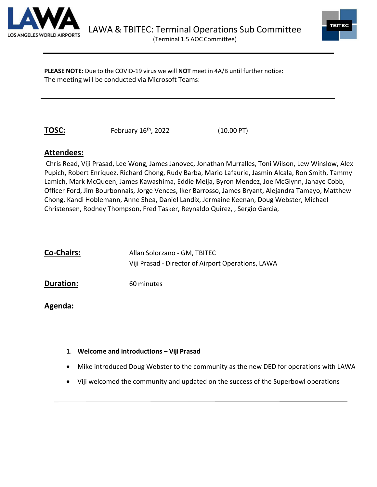



**PLEASE NOTE:** Due to the COVID-19 virus we will **NOT** meet in 4A/B until further notice: The meeting will be conducted via Microsoft Teams:

**TOSC:** February 16<sup>th</sup>, 2022 (10.00 PT)

## **Attendees:**

Chris Read, Viji Prasad, Lee Wong, James Janovec, Jonathan Murralles, Toni Wilson, Lew Winslow, Alex Pupich, Robert Enriquez, Richard Chong, Rudy Barba, Mario Lafaurie, Jasmin Alcala, Ron Smith, Tammy Lamich, Mark McQueen, James Kawashima, Eddie Meija, Byron Mendez, Joe McGlynn, Janaye Cobb, Officer Ford, Jim Bourbonnais, Jorge Vences, Iker Barrosso, James Bryant, Alejandra Tamayo, Matthew Chong, Kandi Hoblemann, Anne Shea, Daniel Landix, Jermaine Keenan, Doug Webster, Michael Christensen, Rodney Thompson, Fred Tasker, Reynaldo Quirez, , Sergio Garcia,

| <b>Co-Chairs:</b> | Allan Solorzano - GM, TBITEC                       |
|-------------------|----------------------------------------------------|
|                   | Viji Prasad - Director of Airport Operations, LAWA |
| <b>Duration:</b>  | 60 minutes                                         |

# **Agenda:**

- 1. **Welcome and introductions – Viji Prasad**
- Mike introduced Doug Webster to the community as the new DED for operations with LAWA
- Viji welcomed the community and updated on the success of the Superbowl operations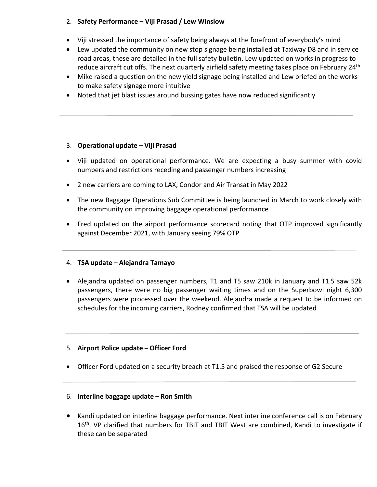### 2. **Safety Performance – Viji Prasad / Lew Winslow**

- Viji stressed the importance of safety being always at the forefront of everybody's mind
- Lew updated the community on new stop signage being installed at Taxiway D8 and in service road areas, these are detailed in the full safety bulletin. Lew updated on works in progress to reduce aircraft cut offs. The next quarterly airfield safety meeting takes place on February 24<sup>th</sup>
- Mike raised a question on the new yield signage being installed and Lew briefed on the works to make safety signage more intuitive
- Noted that jet blast issues around bussing gates have now reduced significantly

#### 3. **Operational update – Viji Prasad**

- Viji updated on operational performance. We are expecting a busy summer with covid numbers and restrictions receding and passenger numbers increasing
- 2 new carriers are coming to LAX, Condor and Air Transat in May 2022
- The new Baggage Operations Sub Committee is being launched in March to work closely with the community on improving baggage operational performance
- Fred updated on the airport performance scorecard noting that OTP improved significantly against December 2021, with January seeing 79% OTP

### 4. **TSA update – Alejandra Tamayo**

• Alejandra updated on passenger numbers, T1 and T5 saw 210k in January and T1.5 saw 52k passengers, there were no big passenger waiting times and on the Superbowl night 6,300 passengers were processed over the weekend. Alejandra made a request to be informed on schedules for the incoming carriers, Rodney confirmed that TSA will be updated

### 5. **Airport Police update – Officer Ford**

• Officer Ford updated on a security breach at T1.5 and praised the response of G2 Secure

#### 6. **Interline baggage update – Ron Smith**

• Kandi updated on interline baggage performance. Next interline conference call is on February 16<sup>th</sup>. VP clarified that numbers for TBIT and TBIT West are combined, Kandi to investigate if these can be separated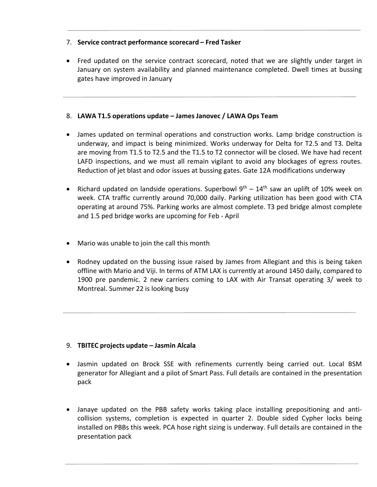#### 7. **Service contract performance scorecard – Fred Tasker**

• Fred updated on the service contract scorecard, noted that we are slightly under target in January on system availability and planned maintenance completed. Dwell times at bussing gates have improved in January

#### 8. **LAWA T1.5 operations update – James Janovec / LAWA Ops Team**

- James updated on terminal operations and construction works. Lamp bridge construction is underway, and impact is being minimized. Works underway for Delta for T2.5 and T3. Delta are moving from T1.5 to T2.5 and the T1.5 to T2 connector will be closed. We have had recent LAFD inspections, and we must all remain vigilant to avoid any blockages of egress routes. Reduction of jet blast and odor issues at bussing gates. Gate 12A modifications underway
- Richard updated on landside operations. Superbowl  $9<sup>th</sup> 14<sup>th</sup>$  saw an uplift of 10% week on week. CTA traffic currently around 70,000 daily. Parking utilization has been good with CTA operating at around 75%. Parking works are almost complete. T3 ped bridge almost complete and 1.5 ped bridge works are upcoming for Feb - April
- Mario was unable to join the call this month
- Rodney updated on the bussing issue raised by James from Allegiant and this is being taken offline with Mario and Viji. In terms of ATM LAX is currently at around 1450 daily, compared to 1900 pre pandemic. 2 new carriers coming to LAX with Air Transat operating 3/ week to Montreal. Summer 22 is looking busy

#### 9. **TBITEC projects update – Jasmin Alcala**

- Jasmin updated on Brock SSE with refinements currently being carried out. Local BSM generator for Allegiant and a pilot of Smart Pass. Full details are contained in the presentation pack
- Janaye updated on the PBB safety works taking place installing prepositioning and anticollision systems, completion is expected in quarter 2. Double sided Cypher locks being installed on PBBs this week. PCA hose right sizing is underway. Full details are contained in the presentation pack